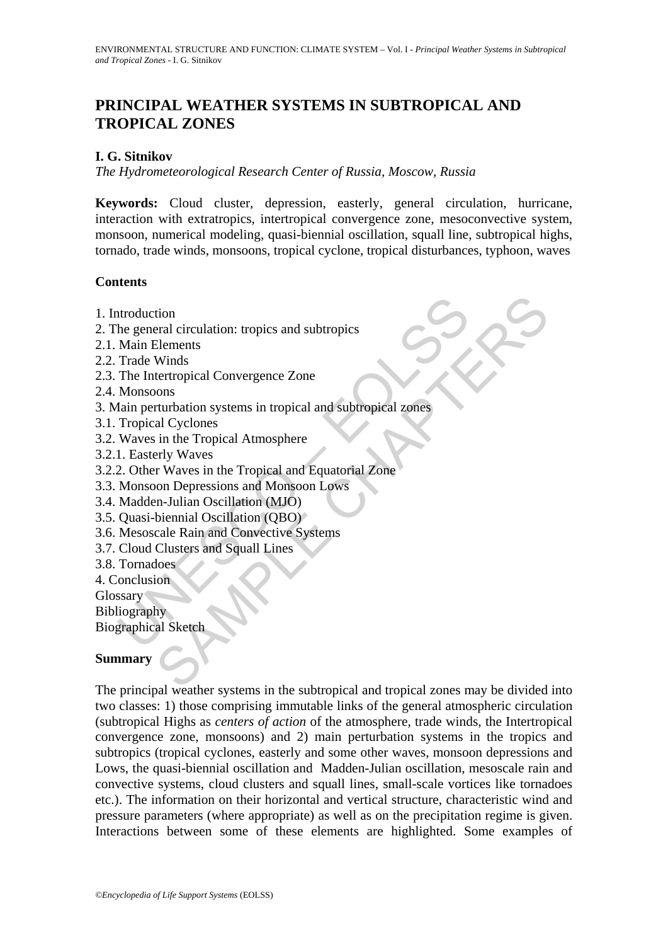# **PRINCIPAL WEATHER SYSTEMS IN SUBTROPICAL AND TROPICAL ZONES**

#### **I. G. Sitnikov**

*The Hydrometeorological Research Center of Russia, Moscow, Russia*

**Keywords:** Cloud cluster, depression, easterly, general circulation, hurricane, interaction with extratropics, intertropical convergence zone, mesoconvective system, monsoon, numerical modeling, quasi-biennial oscillation, squall line, subtropical highs, tornado, trade winds, monsoons, tropical cyclone, tropical disturbances, typhoon, waves

#### **Contents**

- 1. Introduction
- 2. The general circulation: tropics and subtropics
- 2.1. Main Elements
- 2.2. Trade Winds
- 2.3. The Intertropical Convergence Zone
- 2.4. Monsoons
- ntroduction<br>
the general circulation: tropics and subtropics<br>
Main Elements<br>
Trade Winds<br>
The Intertropical Convergence Zone<br>
Monsoons<br>
Tropical Cyclones<br>
Tropical Cyclones<br>
Waves in the Tropical Atmosphere<br>
1. Easterly Wa tion<br>
tion<br>
teral circulation: tropics and subtropics<br>
Elements<br>
Winds<br>
Winds<br>
Winds<br>
Samples Convergence Zone<br>
and Cyclones<br>
al Cyclones<br>
al Cyclones<br>
are the Tropical Atmosphere<br>
Fry Waves<br>
Fry Waves<br>
The Tropical and Eq 3. Main perturbation systems in tropical and subtropical zones
- 3.1. Tropical Cyclones
- 3.2. Waves in the Tropical Atmosphere
- 3.2.1. Easterly Waves
- 3.2.2. Other Waves in the Tropical and Equatorial Zone
- 3.3. Monsoon Depressions and Monsoon Lows
- 3.4. Madden-Julian Oscillation (MJO)
- 3.5. Quasi-biennial Oscillation (QBO)
- 3.6. Mesoscale Rain and Convective Systems
- 3.7. Cloud Clusters and Squall Lines
- 3.8. Tornadoes
- 4. Conclusion

Glossary

Bibliography

Biographical Sketch

#### **Summary**

The principal weather systems in the subtropical and tropical zones may be divided into two classes: 1) those comprising immutable links of the general atmospheric circulation (subtropical Highs as *centers of action* of the atmosphere, trade winds, the Intertropical convergence zone, monsoons) and 2) main perturbation systems in the tropics and subtropics (tropical cyclones, easterly and some other waves, monsoon depressions and Lows, the quasi-biennial oscillation and Madden-Julian oscillation, mesoscale rain and convective systems, cloud clusters and squall lines, small-scale vortices like tornadoes etc.). The information on their horizontal and vertical structure, characteristic wind and pressure parameters (where appropriate) as well as on the precipitation regime is given. Interactions between some of these elements are highlighted. Some examples of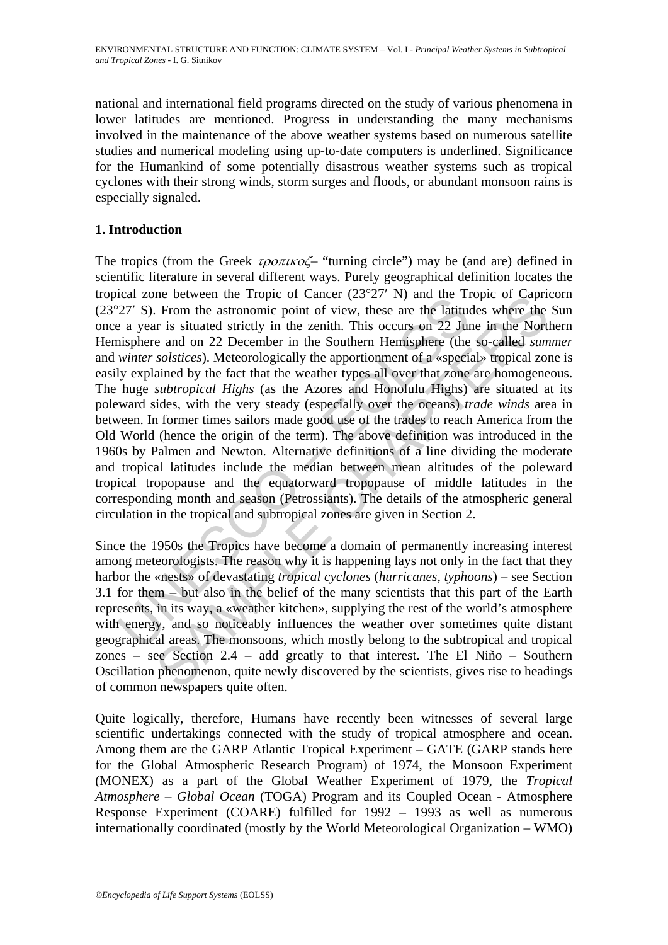national and international field programs directed on the study of various phenomena in lower latitudes are mentioned. Progress in understanding the many mechanisms involved in the maintenance of the above weather systems based on numerous satellite studies and numerical modeling using up-to-date computers is underlined. Significance for the Humankind of some potentially disastrous weather systems such as tropical cyclones with their strong winds, storm surges and floods, or abundant monsoon rains is especially signaled.

### **1. Introduction**

Lear 20th entered into the ring in the ring of Cameer (2.3 27 is) and the rational and a zero extending point of view, these are the lattiture a year is situated strictly in the zenith. This occurs on 22 Junisphere and on me between the Tropic of Cancer (2.5<sup>-2</sup>/<sup>-</sup> N) and the Tropic of Capital<br>From the astronomic point of view, these are the latitudes where the<br>and on 22 December in the Southern Hemisphere (the so-called *sum*<br>*solstices)* The tropics (from the Greek  $\tau \rho \circ \pi \mu \circ \sigma'$  "turning circle") may be (and are) defined in scientific literature in several different ways. Purely geographical definition locates the tropical zone between the Tropic of Cancer (23°27′ N) and the Tropic of Capricorn (23°27′ S). From the astronomic point of view, these are the latitudes where the Sun once a year is situated strictly in the zenith. This occurs on 22 June in the Northern Hemisphere and on 22 December in the Southern Hemisphere (the so-called *summer* and *winter solstices*). Meteorologically the apportionment of a «special» tropical zone is easily explained by the fact that the weather types all over that zone are homogeneous. The huge *subtropical Highs* (as the Azores and Honolulu Highs) are situated at its poleward sides, with the very steady (especially over the oceans) *trade winds* area in between. In former times sailors made good use of the trades to reach America from the Old World (hence the origin of the term). The above definition was introduced in the 1960s by Palmen and Newton. Alternative definitions of a line dividing the moderate and tropical latitudes include the median between mean altitudes of the poleward tropical tropopause and the equatorward tropopause of middle latitudes in the corresponding month and season (Petrossiants). The details of the atmospheric general circulation in the tropical and subtropical zones are given in Section 2.

Since the 1950s the Tropics have become a domain of permanently increasing interest among meteorologists. The reason why it is happening lays not only in the fact that they harbor the «nests» of devastating *tropical cyclones* (*hurricanes, typhoons*) – see Section 3.1 for them – but also in the belief of the many scientists that this part of the Earth represents, in its way, a «weather kitchen», supplying the rest of the world's atmosphere with energy, and so noticeably influences the weather over sometimes quite distant geographical areas. The monsoons, which mostly belong to the subtropical and tropical zones – see Section 2.4 – add greatly to that interest. The El Niño – Southern Oscillation phenomenon, quite newly discovered by the scientists, gives rise to headings of common newspapers quite often.

Quite logically, therefore, Humans have recently been witnesses of several large scientific undertakings connected with the study of tropical atmosphere and ocean. Among them are the GARP Atlantic Tropical Experiment – GATE (GARP stands here for the Global Atmospheric Research Program) of 1974, the Monsoon Experiment (MONEX) as a part of the Global Weather Experiment of 1979, the *Tropical Atmosphere – Global Ocean* (TOGA) Program and its Coupled Ocean - Atmosphere Response Experiment (COARE) fulfilled for 1992 – 1993 as well as numerous internationally coordinated (mostly by the World Meteorological Organization – WMO)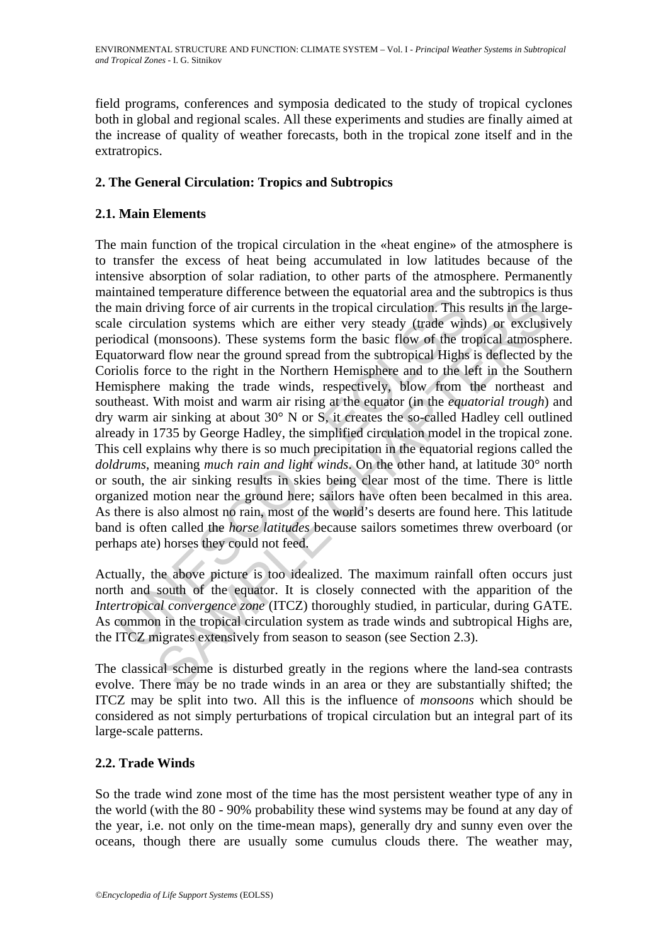field programs, conferences and symposia dedicated to the study of tropical cyclones both in global and regional scales. All these experiments and studies are finally aimed at the increase of quality of weather forecasts, both in the tropical zone itself and in the extratropics.

# **2. The General Circulation: Tropics and Subtropics**

### **2.1. Main Elements**

maind compensation. These exercise the equatorial act area can<br>main driving force of air currents in the tropical circulation. This e<br>e circulation systems which are either very steady (trade win<br>odical (monsoons). These entique univertime to the equatorial area and us usualy<br>enting force of air currents in the tropical circulation. This results in the lattion systems which are either very steady (trade winds) or exclusi<br>(monsoons). These The main function of the tropical circulation in the «heat engine» of the atmosphere is to transfer the excess of heat being accumulated in low latitudes because of the intensive absorption of solar radiation, to other parts of the atmosphere. Permanently maintained temperature difference between the equatorial area and the subtropics is thus the main driving force of air currents in the tropical circulation. This results in the largescale circulation systems which are either very steady (trade winds) or exclusively periodical (monsoons). These systems form the basic flow of the tropical atmosphere. Equatorward flow near the ground spread from the subtropical Highs is deflected by the Coriolis force to the right in the Northern Hemisphere and to the left in the Southern Hemisphere making the trade winds, respectively, blow from the northeast and southeast. With moist and warm air rising at the equator (in the *equatorial trough*) and dry warm air sinking at about 30° N or S, it creates the so-called Hadley cell outlined already in 1735 by George Hadley, the simplified circulation model in the tropical zone. This cell explains why there is so much precipitation in the equatorial regions called the *doldrums*, meaning *much rain and light winds*. On the other hand, at latitude 30° north or south, the air sinking results in skies being clear most of the time. There is little organized motion near the ground here; sailors have often been becalmed in this area. As there is also almost no rain, most of the world's deserts are found here. This latitude band is often called the *horse latitudes* because sailors sometimes threw overboard (or perhaps ate) horses they could not feed.

Actually, the above picture is too idealized. The maximum rainfall often occurs just north and south of the equator. It is closely connected with the apparition of the *Intertropical convergence zone* (ITCZ) thoroughly studied, in particular, during GATE. As common in the tropical circulation system as trade winds and subtropical Highs are, the ITCZ migrates extensively from season to season (see Section 2.3).

The classical scheme is disturbed greatly in the regions where the land-sea contrasts evolve. There may be no trade winds in an area or they are substantially shifted; the ITCZ may be split into two. All this is the influence of *monsoons* which should be considered as not simply perturbations of tropical circulation but an integral part of its large-scale patterns.

#### **2.2. Trade Winds**

So the trade wind zone most of the time has the most persistent weather type of any in the world (with the 80 - 90% probability these wind systems may be found at any day of the year, i.e. not only on the time-mean maps), generally dry and sunny even over the oceans, though there are usually some cumulus clouds there. The weather may,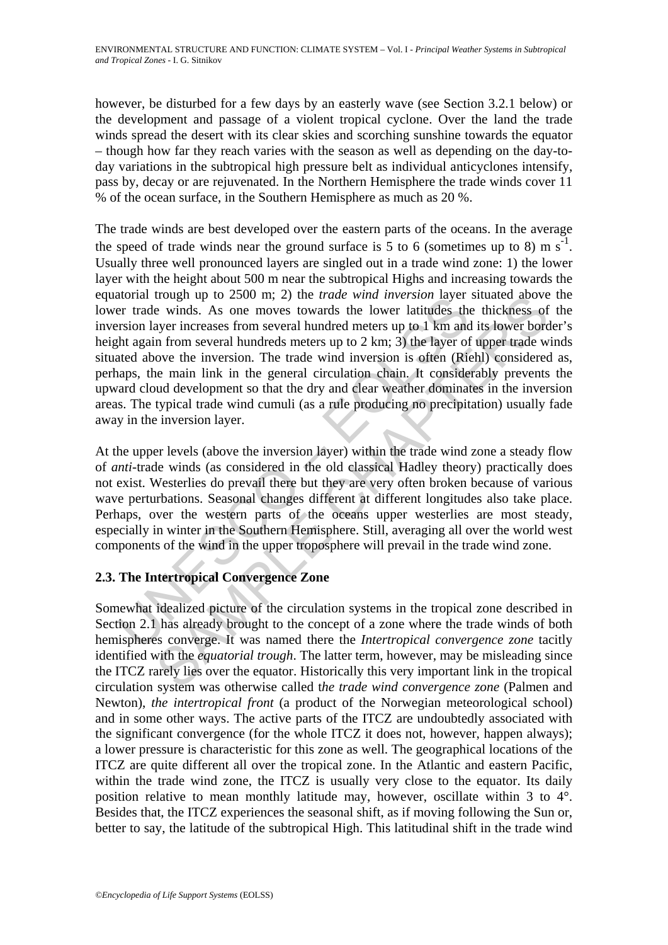however, be disturbed for a few days by an easterly wave (see Section 3.2.1 below) or the development and passage of a violent tropical cyclone. Over the land the trade winds spread the desert with its clear skies and scorching sunshine towards the equator – though how far they reach varies with the season as well as depending on the day-today variations in the subtropical high pressure belt as individual anticyclones intensify, pass by, decay or are rejuvenated. In the Northern Hemisphere the trade winds cover 11 % of the ocean surface, in the Southern Hemisphere as much as 20 %.

ational tough up to 2.500 in, 2.) the *trade what threession* layer<br>erar and winding up to 2.300 m, 2.) the *trade what threession* layer<br>erar trade winds. As one moves towards the lower latitudes the<br>striving and the seri rough up to 2500 m; 2) the *trade* wind *meersion* layer studied above<br>e winds. As one moves towated helower latinges the thickness of<br>e winds. As one moves towated heters up to 1 km and its lower boro<br>anyer increases from The trade winds are best developed over the eastern parts of the oceans. In the average the speed of trade winds near the ground surface is 5 to 6 (sometimes up to 8) m  $s^{-1}$ . Usually three well pronounced layers are singled out in a trade wind zone: 1) the lower layer with the height about 500 m near the subtropical Highs and increasing towards the equatorial trough up to 2500 m; 2) the *trade wind inversion* layer situated above the lower trade winds. As one moves towards the lower latitudes the thickness of the inversion layer increases from several hundred meters up to 1 km and its lower border's height again from several hundreds meters up to 2 km; 3) the layer of upper trade winds situated above the inversion. The trade wind inversion is often (Riehl) considered as, perhaps, the main link in the general circulation chain. It considerably prevents the upward cloud development so that the dry and clear weather dominates in the inversion areas. The typical trade wind cumuli (as a rule producing no precipitation) usually fade away in the inversion layer.

At the upper levels (above the inversion layer) within the trade wind zone a steady flow of *anti*-trade winds (as considered in the old classical Hadley theory) practically does not exist. Westerlies do prevail there but they are very often broken because of various wave perturbations. Seasonal changes different at different longitudes also take place. Perhaps, over the western parts of the oceans upper westerlies are most steady, especially in winter in the Southern Hemisphere. Still, averaging all over the world west components of the wind in the upper troposphere will prevail in the trade wind zone.

# **2.3. The Intertropical Convergence Zone**

Somewhat idealized picture of the circulation systems in the tropical zone described in Section 2.1 has already brought to the concept of a zone where the trade winds of both hemispheres converge. It was named there the *Intertropical convergence zone* tacitly identified with the *equatorial trough*. The latter term, however, may be misleading since the ITCZ rarely lies over the equator. Historically this very important link in the tropical circulation system was otherwise called t*he trade wind convergence zone* (Palmen and Newton), *the intertropical front* (a product of the Norwegian meteorological school) and in some other ways. The active parts of the ITCZ are undoubtedly associated with the significant convergence (for the whole ITCZ it does not, however, happen always); a lower pressure is characteristic for this zone as well. The geographical locations of the ITCZ are quite different all over the tropical zone. In the Atlantic and eastern Pacific, within the trade wind zone, the ITCZ is usually very close to the equator. Its daily position relative to mean monthly latitude may, however, oscillate within 3 to 4°. Besides that, the ITCZ experiences the seasonal shift, as if moving following the Sun or, better to say, the latitude of the subtropical High. This latitudinal shift in the trade wind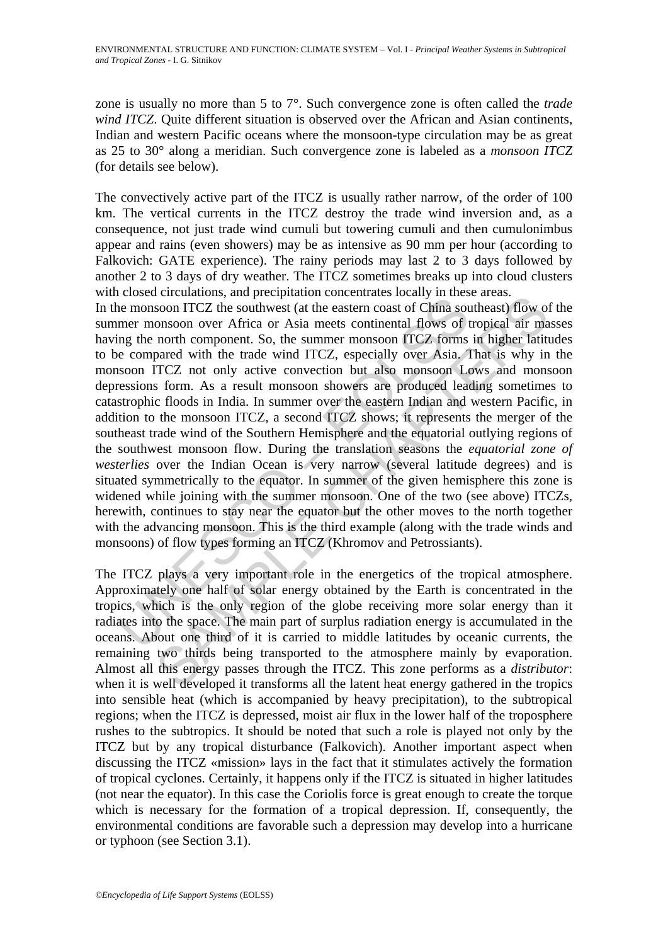zone is usually no more than 5 to 7°. Such convergence zone is often called the *trade wind ITCZ*. Quite different situation is observed over the African and Asian continents, Indian and western Pacific oceans where the monsoon-type circulation may be as great as 25 to 30° along a meridian. Such convergence zone is labeled as a *monsoon ITCZ* (for details see below).

The convectively active part of the ITCZ is usually rather narrow, of the order of 100 km. The vertical currents in the ITCZ destroy the trade wind inversion and, as a consequence, not just trade wind cumuli but towering cumuli and then cumulonimbus appear and rains (even showers) may be as intensive as 90 mm per hour (according to Falkovich: GATE experience). The rainy periods may last 2 to 3 days followed by another 2 to 3 days of dry weather. The ITCZ sometimes breaks up into cloud clusters with closed circulations, and precipitation concentrates locally in these areas.

Experiencement, and previousness, the members of the members of the monsoon ITCZ the southwest (at the eastern coast of China source monsoon ITCZ the southwest (at the eastern coast of China source monsoon ITCZ not only a Forculations, and pricupation concluded as locality in these cares.<br>Soon ITCZ the southwest (at the eastern coast of China southeast) flow of<br>onsoon over Africa or Asia meets continental flows of tropical air ma<br>pared wit In the monsoon ITCZ the southwest (at the eastern coast of China southeast) flow of the summer monsoon over Africa or Asia meets continental flows of tropical air masses having the north component. So, the summer monsoon ITCZ forms in higher latitudes to be compared with the trade wind ITCZ, especially over Asia. That is why in the monsoon ITCZ not only active convection but also monsoon Lows and monsoon depressions form. As a result monsoon showers are produced leading sometimes to catastrophic floods in India. In summer over the eastern Indian and western Pacific, in addition to the monsoon ITCZ, a second ITCZ shows; it represents the merger of the southeast trade wind of the Southern Hemisphere and the equatorial outlying regions of the southwest monsoon flow. During the translation seasons the *equatorial zone of westerlies* over the Indian Ocean is very narrow (several latitude degrees) and is situated symmetrically to the equator. In summer of the given hemisphere this zone is widened while joining with the summer monsoon. One of the two (see above) ITCZs, herewith, continues to stay near the equator but the other moves to the north together with the advancing monsoon. This is the third example (along with the trade winds and monsoons) of flow types forming an ITCZ (Khromov and Petrossiants).

The ITCZ plays a very important role in the energetics of the tropical atmosphere. Approximately one half of solar energy obtained by the Earth is concentrated in the tropics, which is the only region of the globe receiving more solar energy than it radiates into the space. The main part of surplus radiation energy is accumulated in the oceans. About one third of it is carried to middle latitudes by oceanic currents, the remaining two thirds being transported to the atmosphere mainly by evaporation. Almost all this energy passes through the ITCZ. This zone performs as a *distributor*: when it is well developed it transforms all the latent heat energy gathered in the tropics into sensible heat (which is accompanied by heavy precipitation), to the subtropical regions; when the ITCZ is depressed, moist air flux in the lower half of the troposphere rushes to the subtropics. It should be noted that such a role is played not only by the ITCZ but by any tropical disturbance (Falkovich). Another important aspect when discussing the ITCZ «mission» lays in the fact that it stimulates actively the formation of tropical cyclones. Certainly, it happens only if the ITCZ is situated in higher latitudes (not near the equator). In this case the Coriolis force is great enough to create the torque which is necessary for the formation of a tropical depression. If, consequently, the environmental conditions are favorable such a depression may develop into a hurricane or typhoon (see Section 3.1).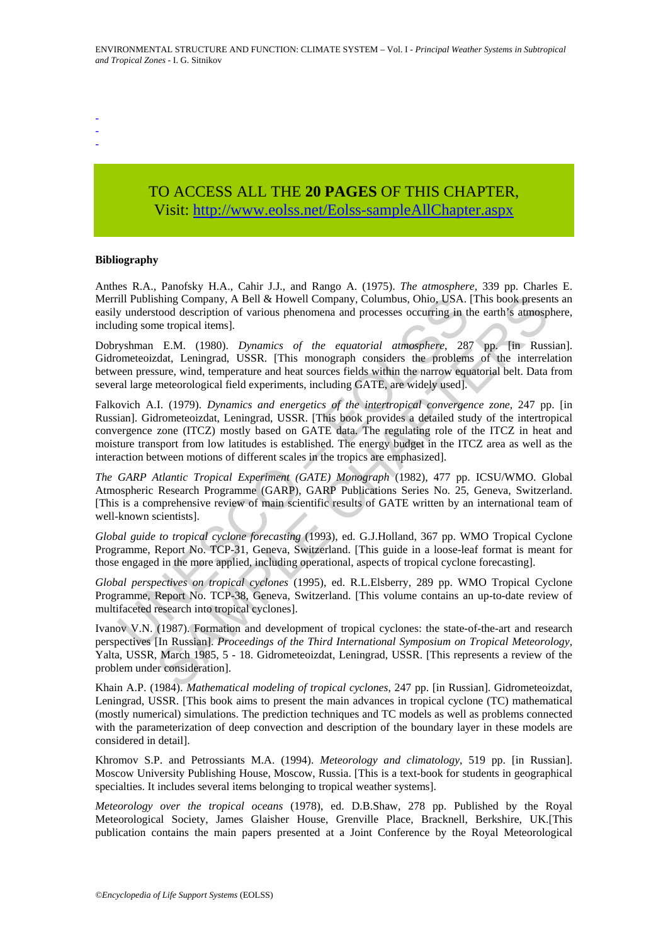- -
- -

# TO ACCESS ALL THE **20 PAGES** OF THIS CHAPTER, Visit: [http://www.eolss.net/Eolss-sampleAllChapter.aspx](https://www.eolss.net/ebooklib/sc_cart.aspx?File=E4-03-04-03)

#### **Bibliography**

Anthes R.A., Panofsky H.A., Cahir J.J., and Rango A. (1975). *The atmosphere,* 339 pp. Charles E. Merrill Publishing Company, A Bell & Howell Company, Columbus, Ohio, USA. [This book presents an easily understood description of various phenomena and processes occurring in the earth's atmosphere, including some tropical items].

Dobryshman E.M. (1980). *Dynamics of the equatorial atmosphere*, 287 pp. [in Russian]. Gidrometeoizdat, Leningrad, USSR. [This monograph considers the problems of the interrelation between pressure, wind, temperature and heat sources fields within the narrow equatorial belt. Data from several large meteorological field experiments, including GATE, are widely used].

ill Publishing Company, A Bell & Howell Company, Columbus, Ohio, USA.<br>
y understood description of various phenomena and processes occurring in the solution of the equatorial and processes occurring in the system EM. (1980 shing Company, A Bell & Howell Company, Columbus, Ohio, USA. [This book present<br>too description of various phenomena and processes occurring in the earth's atmosp<br>ne tropical items].<br>E.M. (1980). *Dynamics of the equatoria* Falkovich A.I. (1979). *Dynamics and energetics of the intertropical convergence zone*, 247 pp. [in Russian]. Gidrometeoizdat, Leningrad, USSR. [This book provides a detailed study of the intertropical convergence zone (ITCZ) mostly based on GATE data. The regulating role of the ITCZ in heat and moisture transport from low latitudes is established. The energy budget in the ITCZ area as well as the interaction between motions of different scales in the tropics are emphasized].

*The GARP Atlantic Tropical Experiment (GATE) Monograph* (1982), 477 pp. ICSU/WMO. Global Atmospheric Research Programme (GARP), GARP Publications Series No. 25, Geneva, Switzerland. [This is a comprehensive review of main scientific results of GATE written by an international team of well-known scientists].

*Global guide to tropical cyclone forecasting* (1993), ed. G.J.Holland, 367 pp. WMO Tropical Cyclone Programme, Report No. TCP-31, Geneva, Switzerland. [This guide in a loose-leaf format is meant for those engaged in the more applied, including operational, aspects of tropical cyclone forecasting].

*Global perspectives on tropical cyclones* (1995), ed. R.L.Elsberry, 289 pp. WMO Tropical Cyclone Programme, Report No. TCP-38, Geneva, Switzerland. [This volume contains an up-to-date review of multifaceted research into tropical cyclones].

Ivanov V.N. (1987). Formation and development of tropical cyclones: the state-of-the-art and research perspectives [In Russian]. *Proceedings of the Third International Symposium on Tropical Meteorology*, Yalta, USSR, March 1985, 5 - 18. Gidrometeoizdat, Leningrad, USSR. [This represents a review of the problem under consideration].

Khain A.P. (1984). *Mathematical modeling of tropical cyclones*, 247 pp. [in Russian]. Gidrometeoizdat, Leningrad, USSR. [This book aims to present the main advances in tropical cyclone (TC) mathematical (mostly numerical) simulations. The prediction techniques and TC models as well as problems connected with the parameterization of deep convection and description of the boundary layer in these models are considered in detail].

Khromov S.P. and Petrossiants M.A. (1994). *Meteorology and climatology*, 519 pp. [in Russian]. Moscow University Publishing House, Moscow, Russia. [This is a text-book for students in geographical specialties. It includes several items belonging to tropical weather systems].

*Meteorology over the tropical oceans* (1978), ed. D.B.Shaw, 278 pp. Published by the Royal Meteorological Society, James Glaisher House, Grenville Place, Bracknell, Berkshire, UK.[This publication contains the main papers presented at a Joint Conference by the Royal Meteorological